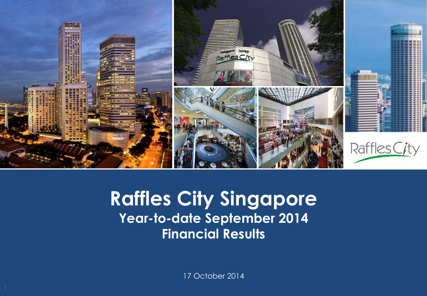

### **Capital Raffles City Singapore Presentation Presentation Template September 2014 Financial Results**

17 October 2014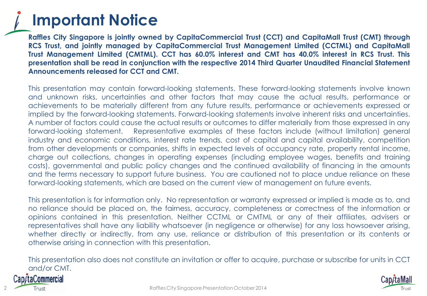### **Important Notice**

**Raffles City Singapore is jointly owned by CapitaCommercial Trust (CCT) and CapitaMall Trust (CMT) through RCS Trust, and jointly managed by CapitaCommercial Trust Management Limited (CCTML) and CapitaMall Trust Management Limited (CMTML). CCT has 60.0% interest and CMT has 40.0% interest in RCS Trust. This presentation shall be read in conjunction with the respective 2014 Third Quarter Unaudited Financial Statement Announcements released for CCT and CMT.**

This presentation may contain forward-looking statements. These forward-looking statements involve known and unknown risks, uncertainties and other factors that may cause the actual results, performance or achievements to be materially different from any future results, performance or achievements expressed or implied by the forward-looking statements. Forward-looking statements involve inherent risks and uncertainties. A number of factors could cause the actual results or outcomes to differ materially from those expressed in any forward-looking statement. Representative examples of these factors include (without limitation) general industry and economic conditions, interest rate trends, cost of capital and capital availability, competition from other developments or companies, shifts in expected levels of occupancy rate, property rental income, charge out collections, changes in operating expenses (including employee wages, benefits and training costs), governmental and public policy changes and the continued availability of financing in the amounts and the terms necessary to support future business. You are cautioned not to place undue reliance on these forward-looking statements, which are based on the current view of management on future events.

This presentation is for information only. No representation or warranty expressed or implied is made as to, and no reliance should be placed on, the fairness, accuracy, completeness or correctness of the information or opinions contained in this presentation. Neither CCTML or CMTML or any of their affiliates, advisers or representatives shall have any liability whatsoever (in negligence or otherwise) for any loss howsoever arising, whether directly or indirectly, from any use, reliance or distribution of this presentation or its contents or otherwise arising in connection with this presentation.

This presentation also does not constitute an invitation or offer to acquire, purchase or subscribe for units in CCT and/or CMT.



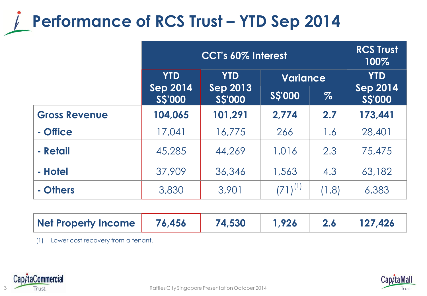### **Performance of RCS Trust – YTD Sep 2014**

|                      | <b>CCT's 60% Interest</b>        |                                                |                 |       | <b>RCS Trust</b><br>100%  |
|----------------------|----------------------------------|------------------------------------------------|-----------------|-------|---------------------------|
|                      | <b>YTD</b>                       | <b>YTD</b><br><b>Sep 2013</b><br><b>SS'000</b> | <b>Variance</b> |       | <b>YTD</b>                |
|                      | <b>Sep 2014</b><br><b>SS'000</b> |                                                | <b>SS'000</b>   | $\%$  | <b>Sep 2014</b><br>SS'000 |
| <b>Gross Revenue</b> | 104,065                          | 101,291                                        | 2,774           | 2.7   | 173,441                   |
| - Office             | 17,041                           | 16,775                                         | 266             | 1.6   | 28,401                    |
| - Retail             | 45,285                           | 44,269                                         | 1,016           | 2.3   | 75,475                    |
| - Hotel              | 37,909                           | 36,346                                         | 1,563           | 4.3   | 63,182                    |
| - Others             | 3,830                            | 3,901                                          | $(71)^{(1)}$    | (1.8) | 6,383                     |

| Net Property Income | 76,456 | 74,530 | 1.926 |  | 127,426 |
|---------------------|--------|--------|-------|--|---------|
|---------------------|--------|--------|-------|--|---------|

(1) Lower cost recovery from a tenant.



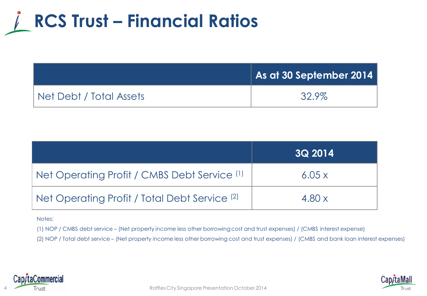## **RCS Trust – Financial Ratios**

|                         | $\vert$ As at 30 September 2014 $\vert$ |
|-------------------------|-----------------------------------------|
| Net Debt / Total Assets | 32.9%                                   |

|                                               | <b>3Q 2014</b> |
|-----------------------------------------------|----------------|
| Net Operating Profit / CMBS Debt Service (1)  | 6.05x          |
| Net Operating Profit / Total Debt Service (2) | 4.80x          |

#### Notes:

(1) NOP / CMBS debt service – (Net property income less other borrowing cost and trust expenses) / (CMBS interest expense)

(2) NOP / Total debt service – (Net property income less other borrowing cost and trust expenses) / (CMBS and bank loan interest expenses)



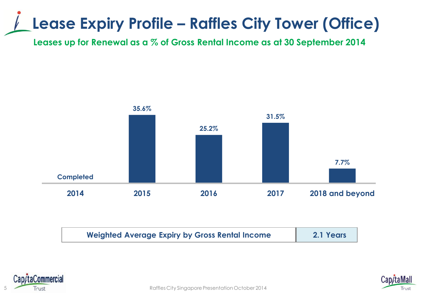### **Lease Expiry Profile – Raffles City Tower (Office)**

**Leases up for Renewal as a % of Gross Rental Income as at 30 September 2014**



| <b>Weighted Average Expiry by Gross Rental Income</b> | 2.1 Years |
|-------------------------------------------------------|-----------|
|                                                       |           |



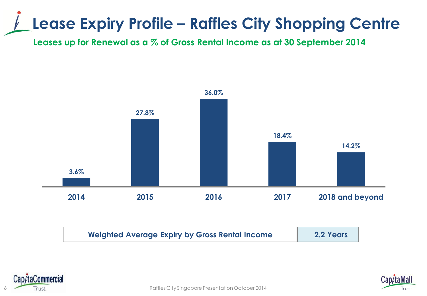### **Lease Expiry Profile – Raffles City Shopping Centre**

**Leases up for Renewal as a % of Gross Rental Income as at 30 September 2014**